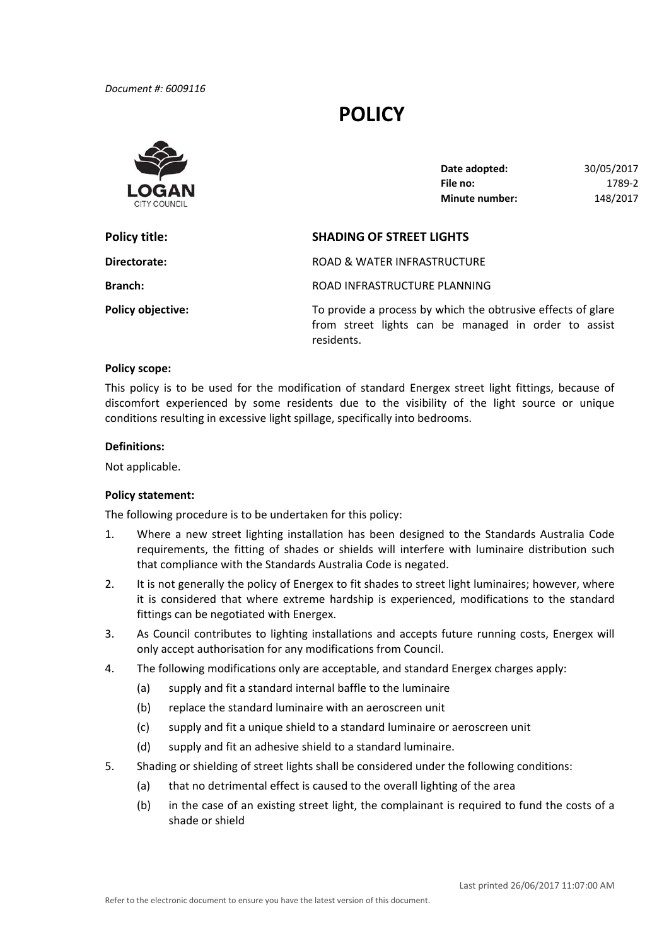# **POLICY**



| Date adopted:         | 30/05/2017 |
|-----------------------|------------|
| File no:              | 1789-2     |
| <b>Minute number:</b> | 148/2017   |

| Policy title:            | <b>SHADING OF STREET LIGHTS</b>                                                                                                    |  |
|--------------------------|------------------------------------------------------------------------------------------------------------------------------------|--|
| Directorate:             | ROAD & WATER INFRASTRUCTURE                                                                                                        |  |
| <b>Branch:</b>           | ROAD INFRASTRUCTURE PLANNING                                                                                                       |  |
| <b>Policy objective:</b> | To provide a process by which the obtrusive effects of glare<br>from street lights can be managed in order to assist<br>residents. |  |

### **Policy scope:**

 This policy is to be used for the modification of standard Energex street light fittings, because of discomfort experienced by some residents due to the visibility of the light source or unique conditions resulting in excessive light spillage, specifically into bedrooms.

#### **Definitions:**

Not applicable.

## **Policy statement:**

The following procedure is to be undertaken for this policy:

- 1. Where a new street lighting installation has been designed to the Standards Australia Code requirements, the fitting of shades or shields will interfere with luminaire distribution such that compliance with the Standards Australia Code is negated.
- 2. It is not generally the policy of Energex to fit shades to street light luminaires; however, where it is considered that where extreme hardship is experienced, modifications to the standard fittings can be negotiated with Energex.
- 3. As Council contributes to lighting installations and accepts future running costs, Energex will only accept authorisation for any modifications from Council.
- 4. The following modifications only are acceptable, and standard Energex charges apply:
	- (a) supply and fit a standard internal baffle to the luminaire
	- (b) replace the standard luminaire with an aeroscreen unit
	- (c) supply and fit a unique shield to a standard luminaire or aeroscreen unit
	- (d) supply and fit an adhesive shield to a standard luminaire.
- 5. Shading or shielding of street lights shall be considered under the following conditions:
	- (a) that no detrimental effect is caused to the overall lighting of the area
	- (b) in the case of an existing street light, the complainant is required to fund the costs of a shade or shield